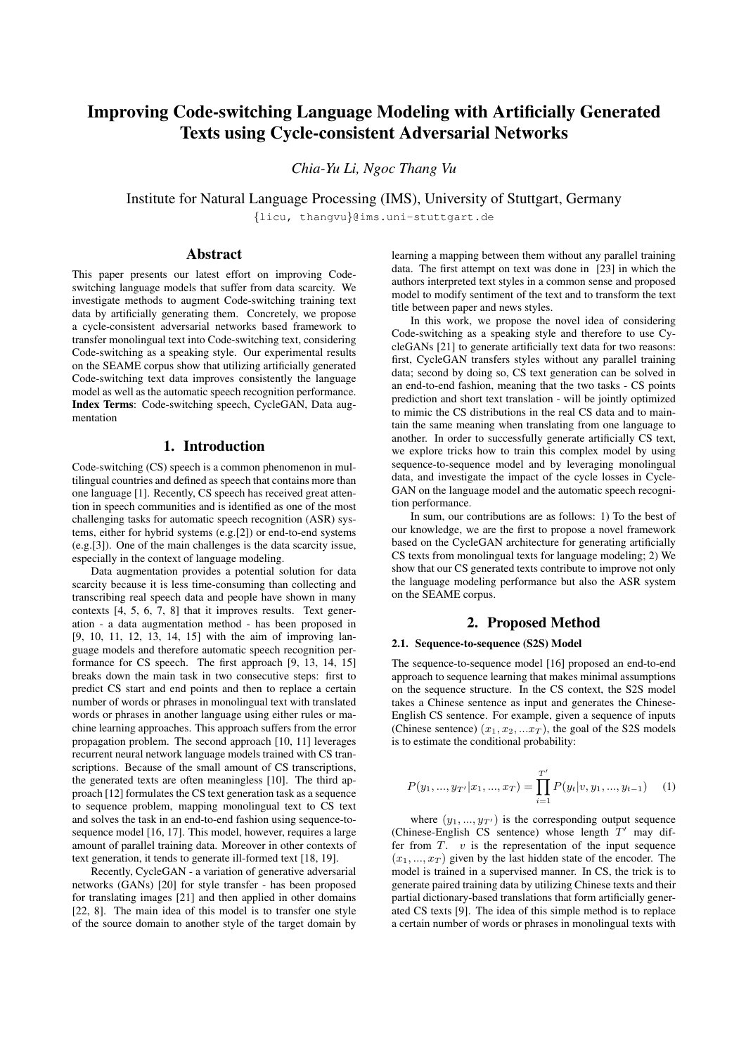# Improving Code-switching Language Modeling with Artificially Generated Texts using Cycle-consistent Adversarial Networks

*Chia-Yu Li, Ngoc Thang Vu*

Institute for Natural Language Processing (IMS), University of Stuttgart, Germany

{licu, thangvu}@ims.uni-stuttgart.de

# Abstract

This paper presents our latest effort on improving Codeswitching language models that suffer from data scarcity. We investigate methods to augment Code-switching training text data by artificially generating them. Concretely, we propose a cycle-consistent adversarial networks based framework to transfer monolingual text into Code-switching text, considering Code-switching as a speaking style. Our experimental results on the SEAME corpus show that utilizing artificially generated Code-switching text data improves consistently the language model as well as the automatic speech recognition performance. Index Terms: Code-switching speech, CycleGAN, Data augmentation

# 1. Introduction

Code-switching (CS) speech is a common phenomenon in multilingual countries and defined as speech that contains more than one language [1]. Recently, CS speech has received great attention in speech communities and is identified as one of the most challenging tasks for automatic speech recognition (ASR) systems, either for hybrid systems (e.g.[2]) or end-to-end systems (e.g.[3]). One of the main challenges is the data scarcity issue, especially in the context of language modeling.

Data augmentation provides a potential solution for data scarcity because it is less time-consuming than collecting and transcribing real speech data and people have shown in many contexts [4, 5, 6, 7, 8] that it improves results. Text generation - a data augmentation method - has been proposed in [9, 10, 11, 12, 13, 14, 15] with the aim of improving language models and therefore automatic speech recognition performance for CS speech. The first approach [9, 13, 14, 15] breaks down the main task in two consecutive steps: first to predict CS start and end points and then to replace a certain number of words or phrases in monolingual text with translated words or phrases in another language using either rules or machine learning approaches. This approach suffers from the error propagation problem. The second approach [10, 11] leverages recurrent neural network language models trained with CS transcriptions. Because of the small amount of CS transcriptions, the generated texts are often meaningless [10]. The third approach [12] formulates the CS text generation task as a sequence to sequence problem, mapping monolingual text to CS text and solves the task in an end-to-end fashion using sequence-tosequence model [16, 17]. This model, however, requires a large amount of parallel training data. Moreover in other contexts of text generation, it tends to generate ill-formed text [18, 19].

Recently, CycleGAN - a variation of generative adversarial networks (GANs) [20] for style transfer - has been proposed for translating images [21] and then applied in other domains [22, 8]. The main idea of this model is to transfer one style of the source domain to another style of the target domain by learning a mapping between them without any parallel training data. The first attempt on text was done in [23] in which the authors interpreted text styles in a common sense and proposed model to modify sentiment of the text and to transform the text title between paper and news styles.

In this work, we propose the novel idea of considering Code-switching as a speaking style and therefore to use CycleGANs [21] to generate artificially text data for two reasons: first, CycleGAN transfers styles without any parallel training data; second by doing so, CS text generation can be solved in an end-to-end fashion, meaning that the two tasks - CS points prediction and short text translation - will be jointly optimized to mimic the CS distributions in the real CS data and to maintain the same meaning when translating from one language to another. In order to successfully generate artificially CS text, we explore tricks how to train this complex model by using sequence-to-sequence model and by leveraging monolingual data, and investigate the impact of the cycle losses in Cycle-GAN on the language model and the automatic speech recognition performance.

In sum, our contributions are as follows: 1) To the best of our knowledge, we are the first to propose a novel framework based on the CycleGAN architecture for generating artificially CS texts from monolingual texts for language modeling; 2) We show that our CS generated texts contribute to improve not only the language modeling performance but also the ASR system on the SEAME corpus.

# 2. Proposed Method

### 2.1. Sequence-to-sequence (S2S) Model

The sequence-to-sequence model [16] proposed an end-to-end approach to sequence learning that makes minimal assumptions on the sequence structure. In the CS context, the S2S model takes a Chinese sentence as input and generates the Chinese-English CS sentence. For example, given a sequence of inputs (Chinese sentence)  $(x_1, x_2, ... x_T)$ , the goal of the S2S models is to estimate the conditional probability:

$$
P(y_1, ..., y_{T'}|x_1, ..., x_T) = \prod_{i=1}^{T'} P(y_t|v, y_1, ..., y_{t-1})
$$
 (1)

where  $(y_1, ..., y_{T'})$  is the corresponding output sequence (Chinese-English CS sentence) whose length  $T'$  may differ from  $T$ .  $v$  is the representation of the input sequence  $(x_1, ..., x_T)$  given by the last hidden state of the encoder. The model is trained in a supervised manner. In CS, the trick is to generate paired training data by utilizing Chinese texts and their partial dictionary-based translations that form artificially generated CS texts [9]. The idea of this simple method is to replace a certain number of words or phrases in monolingual texts with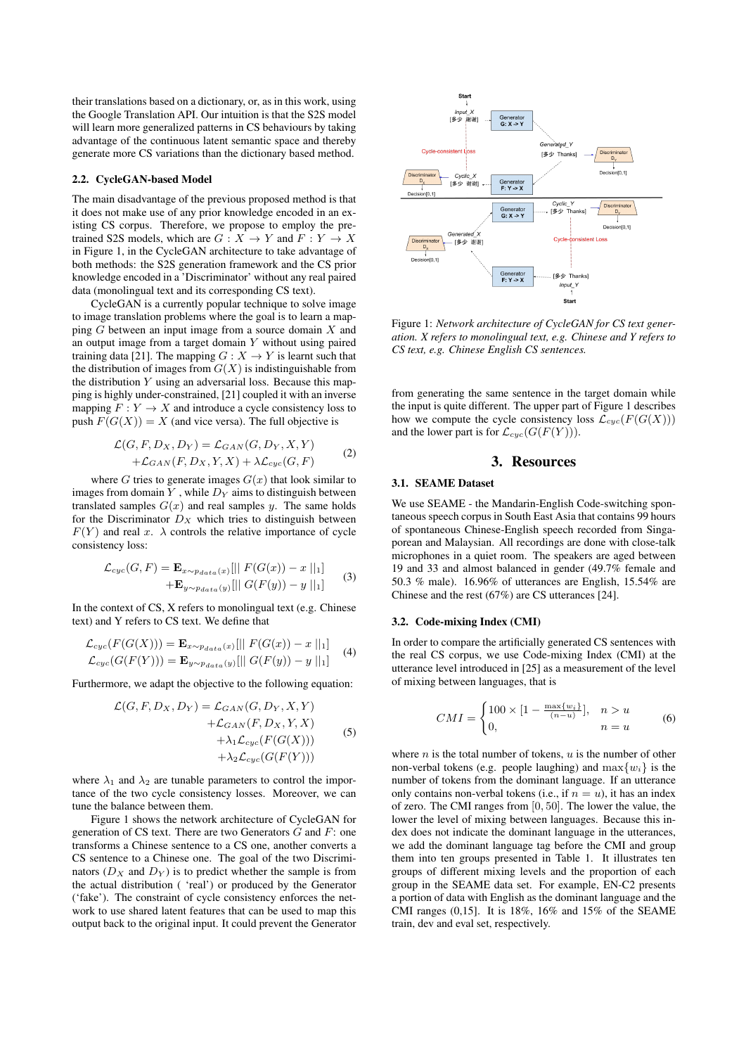their translations based on a dictionary, or, as in this work, using the Google Translation API. Our intuition is that the S2S model will learn more generalized patterns in CS behaviours by taking advantage of the continuous latent semantic space and thereby generate more CS variations than the dictionary based method.

#### 2.2. CycleGAN-based Model

The main disadvantage of the previous proposed method is that it does not make use of any prior knowledge encoded in an existing CS corpus. Therefore, we propose to employ the pretrained S2S models, which are  $G : X \to Y$  and  $F : Y \to X$ in Figure 1, in the CycleGAN architecture to take advantage of both methods: the S2S generation framework and the CS prior knowledge encoded in a 'Discriminator' without any real paired data (monolingual text and its corresponding CS text).

CycleGAN is a currently popular technique to solve image to image translation problems where the goal is to learn a mapping  $G$  between an input image from a source domain  $X$  and an output image from a target domain  $Y$  without using paired training data [21]. The mapping  $G : X \to Y$  is learnt such that the distribution of images from  $G(X)$  is indistinguishable from the distribution  $Y$  using an adversarial loss. Because this mapping is highly under-constrained, [21] coupled it with an inverse mapping  $F: Y \to X$  and introduce a cycle consistency loss to push  $F(G(X)) = X$  (and vice versa). The full objective is

$$
\mathcal{L}(G, F, D_X, D_Y) = \mathcal{L}_{GAN}(G, D_Y, X, Y)
$$
  
+
$$
\mathcal{L}_{GAN}(F, D_X, Y, X) + \lambda \mathcal{L}_{cyc}(G, F)
$$
 (2)

where  $G$  tries to generate images  $G(x)$  that look similar to images from domain  $Y$ , while  $D<sub>Y</sub>$  aims to distinguish between translated samples  $G(x)$  and real samples y. The same holds for the Discriminator  $D_X$  which tries to distinguish between  $F(Y)$  and real x.  $\lambda$  controls the relative importance of cycle consistency loss:

$$
\mathcal{L}_{cyc}(G, F) = \mathbf{E}_{x \sim p_{data}(x)}[\| F(G(x)) - x \|_1 ]
$$
  
+
$$
\mathbf{E}_{y \sim p_{data}(y)}[\| G(F(y)) - y \|_1 ]
$$
 (3)

In the context of CS, X refers to monolingual text (e.g. Chinese text) and Y refers to CS text. We define that

$$
\mathcal{L}_{cyc}(F(G(X))) = \mathbf{E}_{x \sim p_{data}(x)}[\| F(G(x)) - x \|_1]
$$
  

$$
\mathcal{L}_{cyc}(G(F(Y))) = \mathbf{E}_{y \sim p_{data}(y)}[\| G(F(y)) - y \|_1]
$$
 (4)

Furthermore, we adapt the objective to the following equation:

$$
\mathcal{L}(G, F, D_X, D_Y) = \mathcal{L}_{GAN}(G, D_Y, X, Y)
$$
  
+
$$
\mathcal{L}_{GAN}(F, D_X, Y, X)
$$
  
+
$$
\lambda_1 \mathcal{L}_{cyc}(F(G(X)))
$$
  
+
$$
\lambda_2 \mathcal{L}_{cyc}(G(F(Y)))
$$
(5)

where  $\lambda_1$  and  $\lambda_2$  are tunable parameters to control the importance of the two cycle consistency losses. Moreover, we can tune the balance between them.

Figure 1 shows the network architecture of CycleGAN for generation of CS text. There are two Generators  $G$  and  $F$ : one transforms a Chinese sentence to a CS one, another converts a CS sentence to a Chinese one. The goal of the two Discriminators  $(D_X \text{ and } D_Y)$  is to predict whether the sample is from the actual distribution ( 'real') or produced by the Generator ('fake'). The constraint of cycle consistency enforces the network to use shared latent features that can be used to map this output back to the original input. It could prevent the Generator



Figure 1: *Network architecture of CycleGAN for CS text generation. X refers to monolingual text, e.g. Chinese and Y refers to CS text, e.g. Chinese English CS sentences.*

from generating the same sentence in the target domain while the input is quite different. The upper part of Figure 1 describes how we compute the cycle consistency loss  $\mathcal{L}_{cyc}(F(G(X)))$ and the lower part is for  $\mathcal{L}_{cyc}(G(F(Y))).$ 

# 3. Resources

#### 3.1. SEAME Dataset

We use SEAME - the Mandarin-English Code-switching spontaneous speech corpus in South East Asia that contains 99 hours of spontaneous Chinese-English speech recorded from Singaporean and Malaysian. All recordings are done with close-talk microphones in a quiet room. The speakers are aged between 19 and 33 and almost balanced in gender (49.7% female and 50.3 % male). 16.96% of utterances are English, 15.54% are Chinese and the rest (67%) are CS utterances [24].

## 3.2. Code-mixing Index (CMI)

In order to compare the artificially generated CS sentences with the real CS corpus, we use Code-mixing Index (CMI) at the utterance level introduced in [25] as a measurement of the level of mixing between languages, that is

$$
CMI = \begin{cases} 100 \times [1 - \frac{\max\{w_i\}}{(n-u)}], & n > u \\ 0, & n = u \end{cases}
$$
 (6)

where  $n$  is the total number of tokens,  $u$  is the number of other non-verbal tokens (e.g. people laughing) and  $\max\{w_i\}$  is the number of tokens from the dominant language. If an utterance only contains non-verbal tokens (i.e., if  $n = u$ ), it has an index of zero. The CMI ranges from [0, 50]. The lower the value, the lower the level of mixing between languages. Because this index does not indicate the dominant language in the utterances, we add the dominant language tag before the CMI and group them into ten groups presented in Table 1. It illustrates ten groups of different mixing levels and the proportion of each group in the SEAME data set. For example, EN-C2 presents a portion of data with English as the dominant language and the CMI ranges (0,15]. It is 18%, 16% and 15% of the SEAME train, dev and eval set, respectively.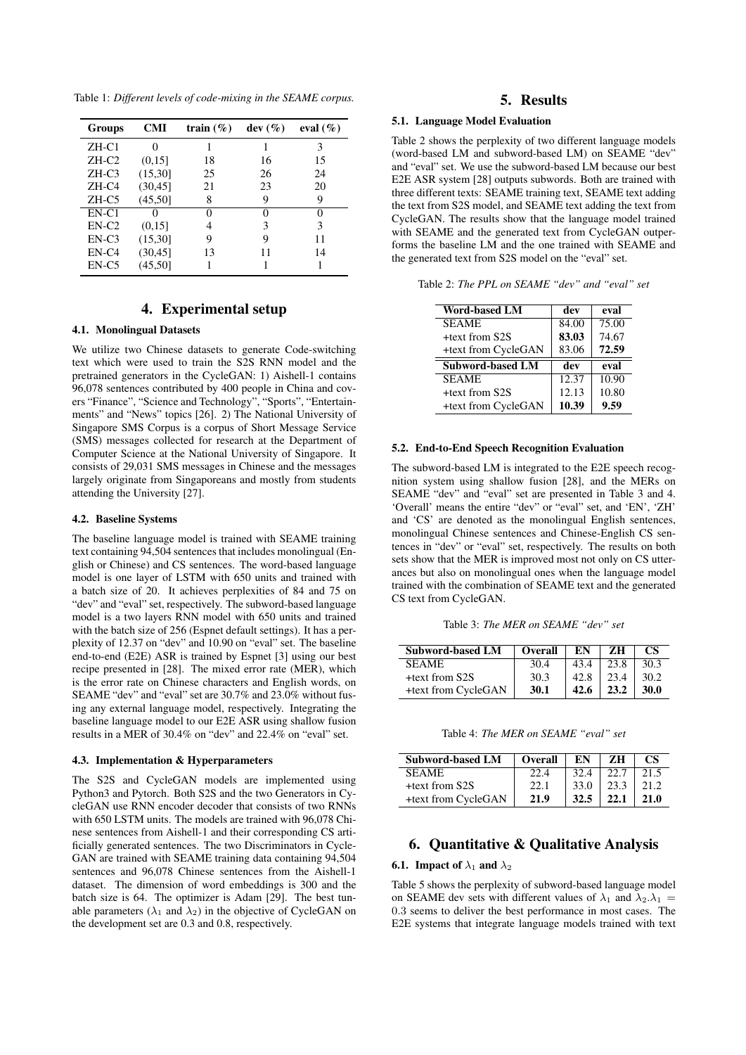Table 1: *Different levels of code-mixing in the SEAME corpus.*

| <b>Groups</b> | <b>CMI</b>        | train $(\% )$ | $dev(\%)$ | eval $(\%)$       |
|---------------|-------------------|---------------|-----------|-------------------|
| $ZH$ -C1      | 0                 |               |           | 3                 |
| $ZH-C2$       | (0.15]            | 18            | 16        | 15                |
| $ZH-C3$       | (15,30]           | 25            | 26        | 24                |
| ZH-C4         | (30, 45)          | 21            | 23        | 20                |
| ZH-C5         | (45,50]           | 8             | 9         | 9                 |
| EN-C1         | $\mathbf{\Omega}$ | 0             | 0         | $\mathbf{\Omega}$ |
| $EN-C2$       | (0.15]            | 4             | 3         | 3                 |
| $EN-C3$       | (15,30]           | 9             | 9         | 11                |
| $EN-C4$       | (30, 45)          | 13            | 11        | 14                |
| $EN-C5$       | (45, 50]          |               |           |                   |

# 4. Experimental setup

# 4.1. Monolingual Datasets

We utilize two Chinese datasets to generate Code-switching text which were used to train the S2S RNN model and the pretrained generators in the CycleGAN: 1) Aishell-1 contains 96,078 sentences contributed by 400 people in China and covers "Finance", "Science and Technology", "Sports", "Entertainments" and "News" topics [26]. 2) The National University of Singapore SMS Corpus is a corpus of Short Message Service (SMS) messages collected for research at the Department of Computer Science at the National University of Singapore. It consists of 29,031 SMS messages in Chinese and the messages largely originate from Singaporeans and mostly from students attending the University [27].

### 4.2. Baseline Systems

The baseline language model is trained with SEAME training text containing 94,504 sentences that includes monolingual (English or Chinese) and CS sentences. The word-based language model is one layer of LSTM with 650 units and trained with a batch size of 20. It achieves perplexities of 84 and 75 on "dev" and "eval" set, respectively. The subword-based language model is a two layers RNN model with 650 units and trained with the batch size of 256 (Espnet default settings). It has a perplexity of 12.37 on "dev" and 10.90 on "eval" set. The baseline end-to-end (E2E) ASR is trained by Espnet [3] using our best recipe presented in [28]. The mixed error rate (MER), which is the error rate on Chinese characters and English words, on SEAME "dev" and "eval" set are 30.7% and 23.0% without fusing any external language model, respectively. Integrating the baseline language model to our E2E ASR using shallow fusion results in a MER of 30.4% on "dev" and 22.4% on "eval" set.

#### 4.3. Implementation & Hyperparameters

The S2S and CycleGAN models are implemented using Python3 and Pytorch. Both S2S and the two Generators in CycleGAN use RNN encoder decoder that consists of two RNNs with 650 LSTM units. The models are trained with 96,078 Chinese sentences from Aishell-1 and their corresponding CS artificially generated sentences. The two Discriminators in Cycle-GAN are trained with SEAME training data containing 94,504 sentences and 96,078 Chinese sentences from the Aishell-1 dataset. The dimension of word embeddings is 300 and the batch size is 64. The optimizer is Adam [29]. The best tunable parameters ( $\lambda_1$  and  $\lambda_2$ ) in the objective of CycleGAN on the development set are 0.3 and 0.8, respectively.

# 5. Results

### 5.1. Language Model Evaluation

Table 2 shows the perplexity of two different language models (word-based LM and subword-based LM) on SEAME "dev" and "eval" set. We use the subword-based LM because our best E2E ASR system [28] outputs subwords. Both are trained with three different texts: SEAME training text, SEAME text adding the text from S2S model, and SEAME text adding the text from CycleGAN. The results show that the language model trained with SEAME and the generated text from CycleGAN outperforms the baseline LM and the one trained with SEAME and the generated text from S2S model on the "eval" set.

| <b>Word-based LM</b>    | dev   | eval  |
|-------------------------|-------|-------|
| <b>SEAME</b>            | 84.00 | 75.00 |
| +text from S2S          | 83.03 | 74.67 |
| +text from CycleGAN     | 83.06 | 72.59 |
|                         |       |       |
| <b>Subword-based LM</b> | dev   | eval  |
| <b>SEAME</b>            | 12.37 | 10.90 |
| +text from S2S          | 12.13 | 10.80 |

### Table 2: *The PPL on SEAME "dev" and "eval" set*

### 5.2. End-to-End Speech Recognition Evaluation

The subword-based LM is integrated to the E2E speech recognition system using shallow fusion [28], and the MERs on SEAME "dev" and "eval" set are presented in Table 3 and 4. 'Overall' means the entire "dev" or "eval" set, and 'EN', 'ZH' and 'CS' are denoted as the monolingual English sentences, monolingual Chinese sentences and Chinese-English CS sentences in "dev" or "eval" set, respectively. The results on both sets show that the MER is improved most not only on CS utterances but also on monolingual ones when the language model trained with the combination of SEAME text and the generated CS text from CycleGAN.

Table 3: *The MER on SEAME "dev" set*

| Subword-based LM    | Overall | EN   | zн   | CS.         |
|---------------------|---------|------|------|-------------|
| <b>SEAME</b>        | 30.4    | 43.4 | 23.8 | 30.3        |
| +text from S2S      | 30.3    | 42.8 | 23.4 | 30.2        |
| +text from CycleGAN | 30.1    | 42.6 | 23.2 | <b>30.0</b> |

Table 4: *The MER on SEAME "eval" set*

| <b>Subword-based LM</b> | Overall | EN   | zн   | CS   |
|-------------------------|---------|------|------|------|
| <b>SEAME</b>            | 22.4    | 32.4 |      | 21.5 |
| +text from S2S          | 22.1    | 33.0 | 23.3 | 21.2 |
| +text from CycleGAN     | 21.9    | 32.5 | 22.1 | 21.0 |

# 6. Quantitative & Qualitative Analysis

### **6.1.** Impact of  $\lambda_1$  and  $\lambda_2$

Table 5 shows the perplexity of subword-based language model on SEAME dev sets with different values of  $\lambda_1$  and  $\lambda_2 \cdot \lambda_1$  = 0.3 seems to deliver the best performance in most cases. The E2E systems that integrate language models trained with text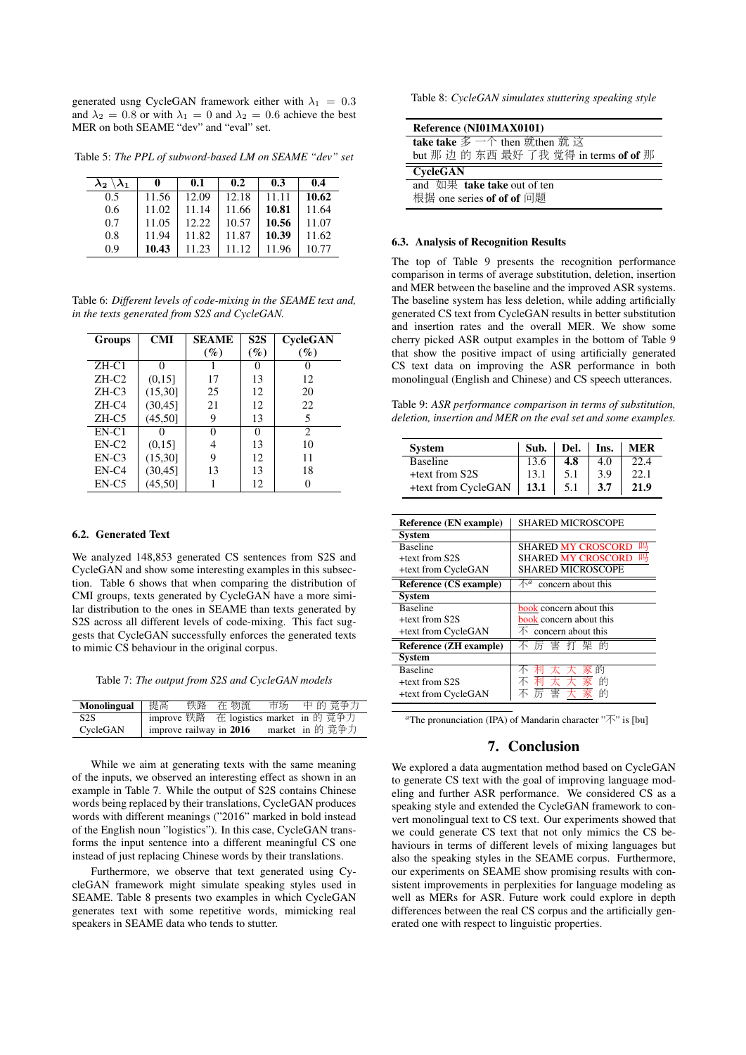generated usng CycleGAN framework either with  $\lambda_1 = 0.3$ and  $\lambda_2 = 0.8$  or with  $\lambda_1 = 0$  and  $\lambda_2 = 0.6$  achieve the best MER on both SEAME "dev" and "eval" set.

Table 5: *The PPL of subword-based LM on SEAME "dev" set*

| $\lambda_2 \setminus \lambda_1$ | 0     | 0.1   | 0.2   | 0.3   | 0.4   |
|---------------------------------|-------|-------|-------|-------|-------|
| 0.5                             | 11.56 | 12.09 | 12.18 | 11.11 | 10.62 |
| 0.6                             | 11.02 | 11.14 | 11.66 | 10.81 | 11.64 |
| 0.7                             | 11.05 | 12.22 | 10.57 | 10.56 | 11.07 |
| 0.8                             | 11.94 | 11.82 | 11.87 | 10.39 | 11.62 |
| 0.9                             | 10.43 | 11.23 | 11.12 | 11.96 | 10.77 |

Table 6: *Different levels of code-mixing in the SEAME text and, in the texts generated from S2S and CycleGAN.*

| Groups   | <b>CMI</b> | <b>SEAME</b> | S2S | CycleGAN                    |
|----------|------------|--------------|-----|-----------------------------|
|          |            | $(\%)$       | (%) | $($ %)                      |
| $ZH-C1$  | 0          |              | 0   |                             |
| $ZH-C2$  | (0,15]     | 17           | 13  | 12                          |
| $ZH-C3$  | (15,30)    | 25           | 12  | 20                          |
| $ZH$ -C4 | (30, 45)   | 21           | 12  | 22                          |
| $ZH-C5$  | (45,50]    | 9            | 13  | 5                           |
| $EN-C1$  |            | 0            | 0   | $\mathcal{D}_{\mathcal{L}}$ |
| $EN-C2$  | (0, 15]    | 4            | 13  | 10                          |
| $EN-C3$  | (15,30]    | 9            | 12  | 11                          |
| $EN-C4$  | (30, 45)   | 13           | 13  | 18                          |
| $EN-C5$  | (45,50]    |              | 12  | 0                           |

#### 6.2. Generated Text

We analyzed 148,853 generated CS sentences from S2S and CycleGAN and show some interesting examples in this subsection. Table 6 shows that when comparing the distribution of CMI groups, texts generated by CycleGAN have a more similar distribution to the ones in SEAME than texts generated by S2S across all different levels of code-mixing. This fact suggests that CycleGAN successfully enforces the generated texts to mimic CS behaviour in the original corpus.

Table 7: *The output from S2S and CycleGAN models*

| Monolingual | │ 提高 | 铁路 在 物流 | 市场 中的 竞争力                               |
|-------------|------|---------|-----------------------------------------|
| S2S         |      |         | improve 铁路 在 logistics market in 的 竞争力  |
| CycleGAN    |      |         | improve railway in 2016 market in 的 竞争力 |
|             |      |         |                                         |

While we aim at generating texts with the same meaning of the inputs, we observed an interesting effect as shown in an example in Table 7. While the output of S2S contains Chinese words being replaced by their translations, CycleGAN produces words with different meanings ("2016" marked in bold instead of the English noun "logistics"). In this case, CycleGAN transforms the input sentence into a different meaningful CS one instead of just replacing Chinese words by their translations.

Furthermore, we observe that text generated using CycleGAN framework might simulate speaking styles used in SEAME. Table 8 presents two examples in which CycleGAN generates text with some repetitive words, mimicking real speakers in SEAME data who tends to stutter.

Table 8: *CycleGAN simulates stuttering speaking style*

| Reference (NI01MAX0101)                                                                              |  |  |  |  |
|------------------------------------------------------------------------------------------------------|--|--|--|--|
| take take $\mathscr{F} \rightharpoonup \uparrow$ then $\mathscr{F}$ then $\mathscr{F}$ $\mathscr{F}$ |  |  |  |  |
| but 那 边 的 东西 最好 了我 觉得 in terms of of 那                                                               |  |  |  |  |
| <b>CycleGAN</b>                                                                                      |  |  |  |  |
| and $\,\overline{\text{w}}\,\overline{\text{m}}\,$ take take out of ten                              |  |  |  |  |
| 根据 one series of of of 问题                                                                            |  |  |  |  |

### 6.3. Analysis of Recognition Results

The top of Table 9 presents the recognition performance comparison in terms of average substitution, deletion, insertion and MER between the baseline and the improved ASR systems. The baseline system has less deletion, while adding artificially generated CS text from CycleGAN results in better substitution and insertion rates and the overall MER. We show some cherry picked ASR output examples in the bottom of Table 9 that show the positive impact of using artificially generated CS text data on improving the ASR performance in both monolingual (English and Chinese) and CS speech utterances.

Table 9: *ASR performance comparison in terms of substitution, deletion, insertion and MER on the eval set and some examples.*

| System                 | Sub.                                                      | Del. | Ins. | <b>MER</b> |  |
|------------------------|-----------------------------------------------------------|------|------|------------|--|
| <b>Baseline</b>        | 13.6                                                      | 4.8  | 4.0  | 22.4       |  |
| +text from S2S         | 13.1                                                      | 5.1  | 3.9  | 22.1       |  |
| +text from CycleGAN    | 13.1                                                      | 5.1  | 3.7  | 21.9       |  |
|                        |                                                           |      |      |            |  |
| Reference (EN example) | <b>SHARED MICROSCOPE</b>                                  |      |      |            |  |
| Svstem                 |                                                           |      |      |            |  |
| <b>Baseline</b>        | <b>SHARED MY CROSCORD</b>                                 |      |      | 吗          |  |
| +text from S2S         | 呬<br><b>SHARED MY CROSCORD</b>                            |      |      |            |  |
| +text from CycleGAN    | <b>SHARED MICROSCOPE</b>                                  |      |      |            |  |
| Reference (CS example) | $\overline{\bigwedge}$ <sup>a</sup><br>concern about this |      |      |            |  |
| Svstem                 |                                                           |      |      |            |  |
| <b>Baseline</b>        | book concern about this                                   |      |      |            |  |
| +text from S2S         | book concern about this                                   |      |      |            |  |
| +text from CycleGAN    | 不<br>concern about this                                   |      |      |            |  |
| Reference (ZH example) | 害<br>打<br>架<br>的<br>厉                                     |      |      |            |  |
| System                 |                                                           |      |      |            |  |
| <b>Baseline</b>        | 利<br>不                                                    |      | 的    |            |  |
| +text from S2S         | 利<br>不                                                    | 太    | 的    |            |  |
| +text from CycleGAN    |                                                           | 害    | 的    |            |  |

*<sup>a</sup>*The pronunciation (IPA) of Mandarin character "不" is [bu]

# 7. Conclusion

We explored a data augmentation method based on CycleGAN to generate CS text with the goal of improving language modeling and further ASR performance. We considered CS as a speaking style and extended the CycleGAN framework to convert monolingual text to CS text. Our experiments showed that we could generate CS text that not only mimics the CS behaviours in terms of different levels of mixing languages but also the speaking styles in the SEAME corpus. Furthermore, our experiments on SEAME show promising results with consistent improvements in perplexities for language modeling as well as MERs for ASR. Future work could explore in depth differences between the real CS corpus and the artificially generated one with respect to linguistic properties.